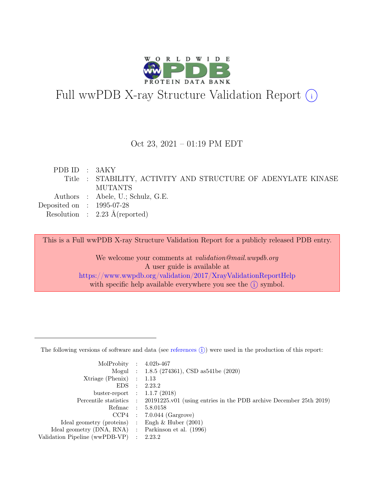

# Full wwPDB X-ray Structure Validation Report  $(i)$

#### Oct 23, 2021 – 01:19 PM EDT

| PDB ID : 3AKY               |                                                               |
|-----------------------------|---------------------------------------------------------------|
|                             | Title : STABILITY, ACTIVITY AND STRUCTURE OF ADENYLATE KINASE |
|                             | <b>MUTANTS</b>                                                |
|                             | Authors : Abele, U.; Schulz, G.E.                             |
| Deposited on : $1995-07-28$ |                                                               |
|                             | Resolution : $2.23 \text{ Å}$ (reported)                      |

This is a Full wwPDB X-ray Structure Validation Report for a publicly released PDB entry.

We welcome your comments at *validation@mail.wwpdb.org* A user guide is available at <https://www.wwpdb.org/validation/2017/XrayValidationReportHelp> with specific help available everywhere you see the  $(i)$  symbol.

The following versions of software and data (see [references](https://www.wwpdb.org/validation/2017/XrayValidationReportHelp#references)  $(i)$ ) were used in the production of this report:

| MolProbity : $4.02b-467$                            |                                                                                            |
|-----------------------------------------------------|--------------------------------------------------------------------------------------------|
|                                                     | Mogul : $1.8.5$ (274361), CSD as 541be (2020)                                              |
| $Xtriangle (Phenix)$ : 1.13                         |                                                                                            |
|                                                     | EDS : 2.23.2                                                                               |
| buster-report : $1.1.7$ (2018)                      |                                                                                            |
|                                                     | Percentile statistics : 20191225.v01 (using entries in the PDB archive December 25th 2019) |
|                                                     | Refmac : 5.8.0158                                                                          |
|                                                     | $CCP4$ : 7.0.044 (Gargrove)                                                                |
| Ideal geometry (proteins) : Engh $\&$ Huber (2001)  |                                                                                            |
| Ideal geometry (DNA, RNA) : Parkinson et al. (1996) |                                                                                            |
| Validation Pipeline (wwPDB-VP) : 2.23.2             |                                                                                            |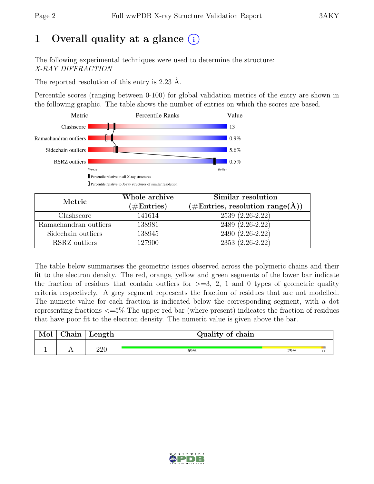# 1 Overall quality at a glance  $(i)$

The following experimental techniques were used to determine the structure: X-RAY DIFFRACTION

The reported resolution of this entry is 2.23 Å.

Percentile scores (ranging between 0-100) for global validation metrics of the entry are shown in the following graphic. The table shows the number of entries on which the scores are based.



| Metric                | Whole archive<br>$(\#\text{Entries})$ | Similar resolution<br>$(\# \text{Entries}, \text{ resolution range}(\text{A}))$ |
|-----------------------|---------------------------------------|---------------------------------------------------------------------------------|
| Clashscore            | 141614                                | 2539 (2.26-2.22)                                                                |
| Ramachandran outliers | 138981                                | 2489 (2.26-2.22)                                                                |
| Sidechain outliers    | 138945                                | 2490 (2.26-2.22)                                                                |
| RSRZ outliers         | 127900                                | $2353(2.26-2.22)$                                                               |

The table below summarises the geometric issues observed across the polymeric chains and their fit to the electron density. The red, orange, yellow and green segments of the lower bar indicate the fraction of residues that contain outliers for  $>=$  3, 2, 1 and 0 types of geometric quality criteria respectively. A grey segment represents the fraction of residues that are not modelled. The numeric value for each fraction is indicated below the corresponding segment, with a dot representing fractions <=5% The upper red bar (where present) indicates the fraction of residues that have poor fit to the electron density. The numeric value is given above the bar.

| $\mod$ | Chain | $\mathsf{Length}$ | Quality of chain |     |                  |
|--------|-------|-------------------|------------------|-----|------------------|
|        |       | 220               | 69%              | 29% | $\bullet\bullet$ |

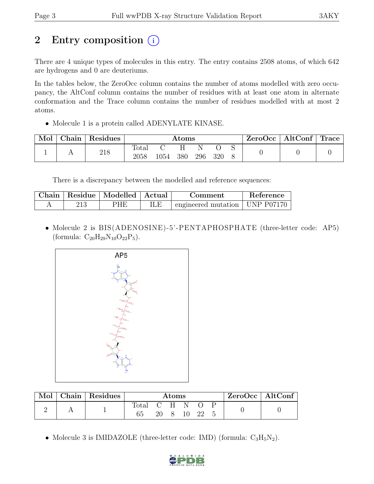# 2 Entry composition (i)

There are 4 unique types of molecules in this entry. The entry contains 2508 atoms, of which 642 are hydrogens and 0 are deuteriums.

In the tables below, the ZeroOcc column contains the number of atoms modelled with zero occupancy, the AltConf column contains the number of residues with at least one atom in alternate conformation and the Trace column contains the number of residues modelled with at most 2 atoms.

• Molecule 1 is a protein called ADENYLATE KINASE.

| Mol | $\text{Chain}$ | Residues |                        |      | Atoms |     |     | ZeroOcc | $\vert$ AltConf $\vert$ | $\mid$ Trace $\mid$ |
|-----|----------------|----------|------------------------|------|-------|-----|-----|---------|-------------------------|---------------------|
|     |                | 218      | $\text{Total}$<br>2058 | 1054 | 380   | 296 | 320 |         |                         |                     |

There is a discrepancy between the modelled and reference sequences:

| Chain | Residue   Modelled   Actual |     | Comment                                    | Reference |
|-------|-----------------------------|-----|--------------------------------------------|-----------|
|       | PHE                         | ILE | $\pm$ engineered mutation $\pm$ UNP P07170 |           |

• Molecule 2 is BIS(ADENOSINE)-5'-PENTAPHOSPHATE (three-letter code: AP5) (formula:  $C_{20}H_{29}N_{10}O_{22}P_5$ ).



| Mol | Chain Residues | Atoms       |    |  | $ZeroOcc \   \$ AltConf |    |  |  |  |
|-----|----------------|-------------|----|--|-------------------------|----|--|--|--|
|     |                | Total C H N | 20 |  | 10                      | 22 |  |  |  |

• Molecule 3 is IMIDAZOLE (three-letter code: IMD) (formula:  $C_3H_5N_2$ ).

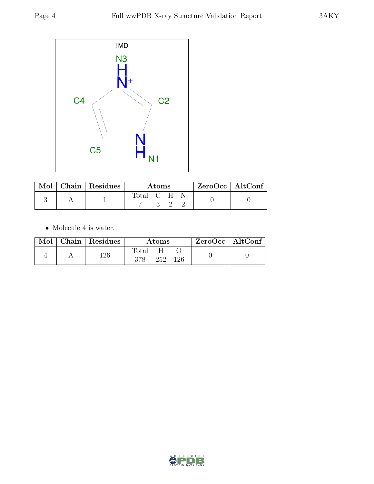

|  | $\mathbf{Mod} \mid \mathbf{Chain} \mid \mathbf{Residues}$ | Atoms       |  |  | ZeroOcc   AltConf |  |
|--|-----------------------------------------------------------|-------------|--|--|-------------------|--|
|  |                                                           | Total C H N |  |  |                   |  |

 $\bullet\,$  Molecule 4 is water.

|  | Mol   Chain   Residues | Atoms        |     |     | $ZeroOcc \   \ AltConf$ |  |
|--|------------------------|--------------|-----|-----|-------------------------|--|
|  | 126                    | Total<br>378 | 252 | 126 |                         |  |

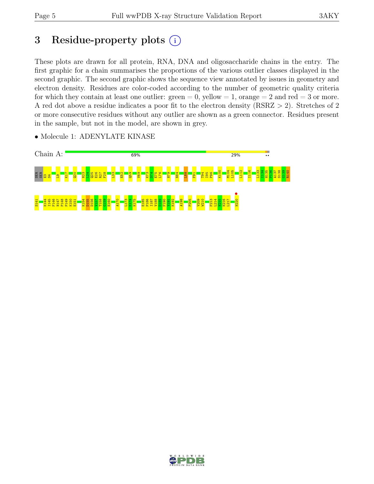# 3 Residue-property plots  $(i)$

These plots are drawn for all protein, RNA, DNA and oligosaccharide chains in the entry. The first graphic for a chain summarises the proportions of the various outlier classes displayed in the second graphic. The second graphic shows the sequence view annotated by issues in geometry and electron density. Residues are color-coded according to the number of geometric quality criteria for which they contain at least one outlier:  $green = 0$ , yellow  $= 1$ , orange  $= 2$  and red  $= 3$  or more. A red dot above a residue indicates a poor fit to the electron density (RSRZ > 2). Stretches of 2 or more consecutive residues without any outlier are shown as a green connector. Residues present in the sample, but not in the model, are shown in grey.

• Molecule 1: ADENYLATE KINASE



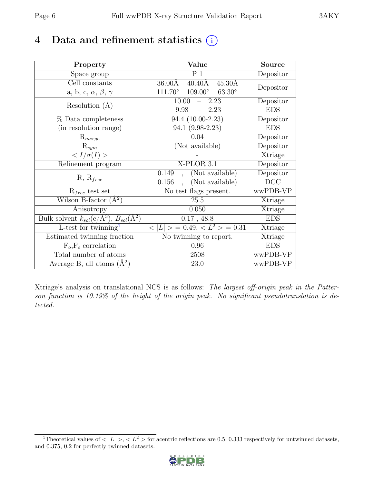# 4 Data and refinement statistics  $(i)$

| Property                                                          | Value                                             | <b>Source</b> |
|-------------------------------------------------------------------|---------------------------------------------------|---------------|
| Space group                                                       | P <sub>1</sub>                                    | Depositor     |
| Cell constants                                                    | $40.40\text{\AA}$<br>36.00Å<br>$45.30\text{\AA}$  |               |
| a, b, c, $\alpha$ , $\beta$ , $\gamma$                            | $111.70^\circ$<br>$109.00^\circ$<br>$63.30^\circ$ | Depositor     |
| Resolution $(A)$                                                  | 10.00<br>2.23                                     | Depositor     |
|                                                                   | 9.98<br>2.23                                      | <b>EDS</b>    |
| % Data completeness                                               | 94.4 (10.00-2.23)                                 | Depositor     |
| (in resolution range)                                             | 94.1 (9.98-2.23)                                  | <b>EDS</b>    |
| $R_{merge}$                                                       | 0.04                                              | Depositor     |
| $\mathrm{R}_{sym}$                                                | (Not available)                                   | Depositor     |
| $\leq I/\sigma(I)$                                                |                                                   | Xtriage       |
| Refinement program                                                | $X-PLOR$ 3.1                                      | Depositor     |
| $R, R_{free}$                                                     | (Not available)<br>0.149                          | Depositor     |
|                                                                   | (Not available)<br>0.156                          | DCC           |
| $R_{free}$ test set                                               | No test flags present.                            | wwPDB-VP      |
| Wilson B-factor $(A^2)$                                           | 25.5                                              | Xtriage       |
| Anisotropy                                                        | 0.050                                             | Xtriage       |
| Bulk solvent $k_{sol}(e/\mathring{A}^3), B_{sol}(\mathring{A}^2)$ | $0.17$ , 48.8                                     | <b>EDS</b>    |
| $L$ -test for twinning <sup>1</sup>                               | $< L >$ = 0.49, $< L^2 >$ = 0.31                  | Xtriage       |
| Estimated twinning fraction                                       | $\overline{\text{No}}$ twinning to report.        | Xtriage       |
| $F_o, F_c$ correlation                                            | 0.96                                              | <b>EDS</b>    |
| Total number of atoms                                             | 2508                                              | wwPDB-VP      |
| Average B, all atoms $(A^2)$                                      | 23.0                                              | wwPDB-VP      |

Xtriage's analysis on translational NCS is as follows: The largest off-origin peak in the Patterson function is 10.19% of the height of the origin peak. No significant pseudotranslation is detected.

<span id="page-5-0"></span><sup>&</sup>lt;sup>1</sup>Theoretical values of  $\langle |L| \rangle$ ,  $\langle L^2 \rangle$  for acentric reflections are 0.5, 0.333 respectively for untwinned datasets, and 0.375, 0.2 for perfectly twinned datasets.

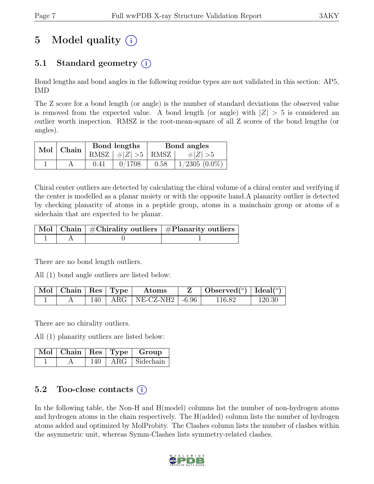# 5 Model quality  $(i)$

## 5.1 Standard geometry  $(i)$

Bond lengths and bond angles in the following residue types are not validated in this section: AP5, IMD

The Z score for a bond length (or angle) is the number of standard deviations the observed value is removed from the expected value. A bond length (or angle) with  $|Z| > 5$  is considered an outlier worth inspection. RMSZ is the root-mean-square of all Z scores of the bond lengths (or angles).

| $Mol$   Chain |      | Bond lengths                          | Bond angles |                 |  |
|---------------|------|---------------------------------------|-------------|-----------------|--|
|               |      | RMSZ $\mid \#Z \mid >5$   RMSZ $\mid$ |             | $\# Z  > 5$     |  |
|               | 0.41 | 0/1708                                | 0.58        | $1/2305(0.0\%)$ |  |

Chiral center outliers are detected by calculating the chiral volume of a chiral center and verifying if the center is modelled as a planar moiety or with the opposite hand.A planarity outlier is detected by checking planarity of atoms in a peptide group, atoms in a mainchain group or atoms of a sidechain that are expected to be planar.

|  | $\lceil$ Mol $\lceil$ Chain $\rceil$ #Chirality outliers $\rceil$ #Planarity outliers $\rceil$ |
|--|------------------------------------------------------------------------------------------------|
|  |                                                                                                |

There are no bond length outliers.

All (1) bond angle outliers are listed below:

| $\mid$ Mol $\mid$ Chain $\mid$ Res $\mid$ Type |  | Atoms                           | $\vert$ Observed $(^\circ)$ $\vert$ Ideal $(^\circ)$ |        |
|------------------------------------------------|--|---------------------------------|------------------------------------------------------|--------|
|                                                |  | $140$   ARG   NE-CZ-NH2   -6.96 | 116.82                                               | 120.30 |

There are no chirality outliers.

All (1) planarity outliers are listed below:

|  |     | $\mid$ Mol $\mid$ Chain $\mid$ Res $\mid$ Type $\mid$ Group |
|--|-----|-------------------------------------------------------------|
|  | 140 | $\vert$ ARG $\vert$ Sidechain $\vert$                       |

### 5.2 Too-close contacts  $(i)$

In the following table, the Non-H and H(model) columns list the number of non-hydrogen atoms and hydrogen atoms in the chain respectively. The H(added) column lists the number of hydrogen atoms added and optimized by MolProbity. The Clashes column lists the number of clashes within the asymmetric unit, whereas Symm-Clashes lists symmetry-related clashes.

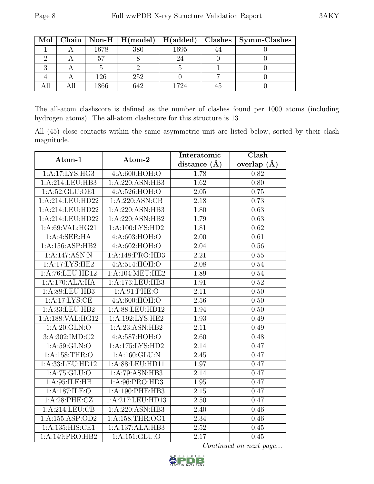|  |      |     |         | Mol   Chain   Non-H   H(model)   H(added)   Clashes   Symm-Clashes |
|--|------|-----|---------|--------------------------------------------------------------------|
|  | 1678 | 380 | 1695    |                                                                    |
|  |      |     |         |                                                                    |
|  |      |     |         |                                                                    |
|  | 126  | 252 |         |                                                                    |
|  | .866 | 642 | $179_A$ |                                                                    |

The all-atom clashscore is defined as the number of clashes found per 1000 atoms (including hydrogen atoms). The all-atom clashscore for this structure is 13.

All (45) close contacts within the same asymmetric unit are listed below, sorted by their clash magnitude.

| Atom-1                     | Atom-2              | Interatomic       | Clash         |  |
|----------------------------|---------------------|-------------------|---------------|--|
|                            |                     | distance $(A)$    | overlap $(A)$ |  |
| 1:A:17:LYS:HG3             | 4:A:600:HOH:O       | 1.78              | 0.82          |  |
| 1:A:214:LEU:HB3            | 1:A:220:ASN:HB3     | 1.62              | 0.80          |  |
| 1:A:52:GLU:OE1             | 4:A:526:HOH:O       | 2.05              | 0.75          |  |
| 1:A:214:LEU:HD22           | 1:A:220:ASN:CB      | 2.18              | 0.73          |  |
| 1:A:214:LEU:HD22           | 1:A:220:ASN:HB3     | 1.80              | 0.63          |  |
| 1:A:214:LEU:HD22           | 1:A:220:ASN:HB2     | 1.79              | 0.63          |  |
| 1:A:69:VAL:HG21            | 1:A:100:LYS:HD2     | 1.81              | 0.62          |  |
| $1:A:3E \times H \times H$ | 4:A:603:HOH:O       | 2.00              | 0.61          |  |
| 1:A:156:ASP:HB2            | 4:A:602:HOH:O       | 2.04              | 0.56          |  |
| 1:A:147:ASN:N              | 1:A:148:PRO:HD3     | 2.21              | 0.55          |  |
| 1:A:17:LYS:HE2             | 4:A:514:HOH:O       | 2.08              | 0.54          |  |
| 1:A:76:LEU:HD12            | 1: A:104: MET:HE2   | 1.89              | 0.54          |  |
| 1:A:170:ALA:HA             | 1:A:173:LEU:HB3     | 1.91              | 0.52          |  |
| 1:A:88:LEU:HB3             | 1:A:91:PHE:O        | 2.11              | 0.50          |  |
| 1:A:17:LYS:CE              | 4:A:600:HOH:O       | 2.56              | 0.50          |  |
| 1:A:33:LEU:HB2             | 1:A:88:LEU:HD12     | 1.94              | 0.50          |  |
| 1:A:188:VAL:HG12           | 1:A:192:LYS:HE2     | 1.93              | 0.49          |  |
| 1:A:20:GLN:O               | 1:A:23:ASN:HB2      | 2.11              | 0.49          |  |
| 3:A:302:IMD:C2             | 4:A:587:HOH:O       | 2.60              | 0.48          |  |
| 1: A:59: GLN:O             | 1:A:175:LYS:HD2     | 2.14              | 0.47          |  |
| 1: A: 158: THR:O           | 1:A:160:GLU:N       | 2.45              | 0.47          |  |
| 1:A:33:LEU:HD12            | 1:A:88:LEU:HD11     | 1.97              | 0.47          |  |
| 1: A: 75: GLU:O            | 1:A:79:ASN:HB3      | 2.14              | 0.47          |  |
| 1: A:95: ILE: HB           | 1:A:96:PRO:HD3      | 1.95              | 0.47          |  |
| 1:A:187:ILE:O              | 1:A:190:PHE:HB3     | $\overline{2.15}$ | 0.47          |  |
| 1:A:28:PHE:CZ              | 1:A:217:LEU:HD13    | 2.50              | 0.47          |  |
| 1:A:214:LEU:CB             | 1:A:220:ASN:HB3     | 2.40              | 0.46          |  |
| 1: A: 155: ASP: OD2        | 1: A: 158: THR: OG1 | 2.34              | 0.46          |  |
| 1:A:135:HIS:CE1            | 1:A:137:ALA:HB3     | 2.52              | 0.45          |  |
| 1:A:149:PRO:HB2            | 1:A:151:GLU:O       | 2.17              | 0.45          |  |

Continued on next page...

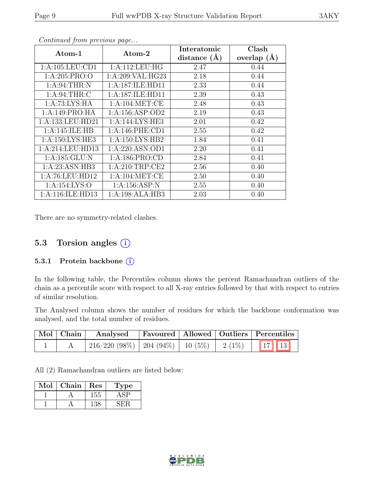| Atom-1              | Atom-2              | Interatomic      | Clash         |
|---------------------|---------------------|------------------|---------------|
|                     |                     | distance $(\AA)$ | overlap $(A)$ |
| 1:A:105:LEU:CD1     | 1: A:112:LEU:HG     | 2.47             | 0.44          |
| 1: A:205: PRO:O     | 1:A:209:VAL:HG23    | 2.18             | 0.44          |
| 1: A:94:THR:N       | 1:A:187:ILE:HD11    | 2.33             | 0.44          |
| 1: A:94:THR:C       | 1:A:187:ILE:HD11    | 2.39             | 0.43          |
| 1: A:73: LYS: HA    | 1: A:104: MET:CE    | 2.48             | 0.43          |
| 1:A:149:PRO:HA      | 1: A: 156: ASP: OD2 | 2.19             | 0.43          |
| 1:A:133:LEU:HD21    | 1:A:144:LYS:HE3     | 2.01             | 0.42          |
| 1:A:145:ILE:HB      | 1: A:146: PHE:CD1   | 2.55             | 0.42          |
| 1: A: 150: LYS: HE3 | 1: A:150: LYS: HB2  | 1.84             | 0.41          |
| 1:A:214:LEU:HD13    | 1:A:220:ASN:OD1     | 2.20             | 0.41          |
| 1: A: 185: GLU: N   | 1: A: 186: PRO:CD   | 2.84             | 0.41          |
| 1: A:23: ASN:HB3    | 1: A:210:TRP:CE2    | 2.56             | 0.40          |
| 1:A:76:LEU:HD12     | 1: A:104: MET:CE    | 2.50             | 0.40          |
| 1:A:154:LYS:O       | 1:A:156:ASP:N       | 2.55             | 0.40          |
| 1:A:116:ILE:HD13    | 1:A:198:ALA:HB3     | 2.03             | 0.40          |

Continued from previous page...

There are no symmetry-related clashes.

### 5.3 Torsion angles  $(i)$

#### 5.3.1 Protein backbone (i)

In the following table, the Percentiles column shows the percent Ramachandran outliers of the chain as a percentile score with respect to all X-ray entries followed by that with respect to entries of similar resolution.

The Analysed column shows the number of residues for which the backbone conformation was analysed, and the total number of residues.

| Mol Chain | Analysed Favoured Allowed Outliers Percentiles                                  |  |  |
|-----------|---------------------------------------------------------------------------------|--|--|
|           | $\mid$ 216/220 (98%) $\mid$ 204 (94%) $\mid$ 10 (5%) $\mid$ 2 (1%) $\mid$ 17 13 |  |  |

All (2) Ramachandran outliers are listed below:

| Mol | Chain | Res | Type |
|-----|-------|-----|------|
|     |       | 155 |      |
|     |       | 38  |      |

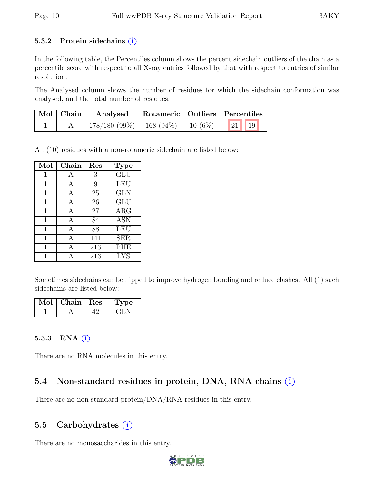#### 5.3.2 Protein sidechains  $(i)$

In the following table, the Percentiles column shows the percent sidechain outliers of the chain as a percentile score with respect to all X-ray entries followed by that with respect to entries of similar resolution.

The Analysed column shows the number of residues for which the sidechain conformation was analysed, and the total number of residues.

| $\vert$ Mol $\vert$ Chain $\vert$ | Analysed                                           | Rotameric   Outliers   Percentiles |  |  |
|-----------------------------------|----------------------------------------------------|------------------------------------|--|--|
|                                   | $178/180 (99\%)$   168 (94\%)   10 (6\%)   21   19 |                                    |  |  |

All (10) residues with a non-rotameric sidechain are listed below:

| Mol         | Chain | Res          | <b>Type</b> |
|-------------|-------|--------------|-------------|
| $\mathbf 1$ | А     | $\mathbf{3}$ | GLU         |
| 1           | Α     | 9            | <b>LEU</b>  |
| 1           | А     | 25           | <b>GLN</b>  |
| 1           | А     | 26           | GLU         |
| 1           | А     | 27           | $\rm{ARG}$  |
| 1           | А     | 84           | <b>ASN</b>  |
| 1           | A     | 88           | <b>LEU</b>  |
| 1           | А     | 141          | <b>SER</b>  |
| 1           | А     | 213          | <b>PHE</b>  |
|             |       | 216          | <b>LYS</b>  |

Sometimes sidechains can be flipped to improve hydrogen bonding and reduce clashes. All (1) such sidechains are listed below:

| Mol | Chain   Res | Type |
|-----|-------------|------|
|     |             | H    |

#### 5.3.3 RNA  $(i)$

There are no RNA molecules in this entry.

#### 5.4 Non-standard residues in protein, DNA, RNA chains  $(i)$

There are no non-standard protein/DNA/RNA residues in this entry.

#### 5.5 Carbohydrates  $(i)$

There are no monosaccharides in this entry.

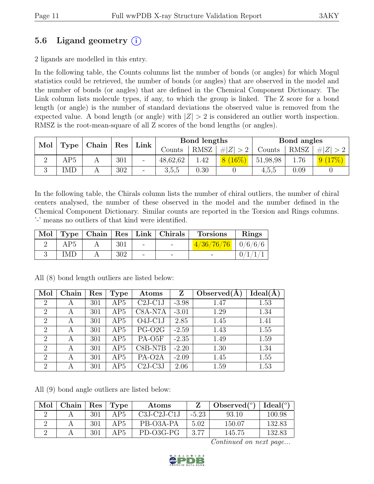### 5.6 Ligand geometry  $(i)$

2 ligands are modelled in this entry.

In the following table, the Counts columns list the number of bonds (or angles) for which Mogul statistics could be retrieved, the number of bonds (or angles) that are observed in the model and the number of bonds (or angles) that are defined in the Chemical Component Dictionary. The Link column lists molecule types, if any, to which the group is linked. The Z score for a bond length (or angle) is the number of standard deviations the observed value is removed from the expected value. A bond length (or angle) with  $|Z| > 2$  is considered an outlier worth inspection. RMSZ is the root-mean-square of all Z scores of the bond lengths (or angles).

| Mol |     |  | Type   Chain   Res |                          |          | Link              |             | Bond lengths |      |                | Bond angles |  |
|-----|-----|--|--------------------|--------------------------|----------|-------------------|-------------|--------------|------|----------------|-------------|--|
|     |     |  |                    |                          | Counts   | RMSZ <sub>1</sub> | # $ Z  > 2$ | Counts       | RMSZ | $+ Z  > 2$     |             |  |
|     | AP5 |  | 301                |                          | 48,62,62 | .42               | $8(16\%)$   | 51,98,98     | 1.76 | $(17\%)$<br>9( |             |  |
|     | IMD |  | 302                | $\overline{\phantom{a}}$ | 3,5,5    | 0.30              |             | 4,5,5        | 0.09 |                |             |  |

In the following table, the Chirals column lists the number of chiral outliers, the number of chiral centers analysed, the number of these observed in the model and the number defined in the Chemical Component Dictionary. Similar counts are reported in the Torsion and Rings columns. '-' means no outliers of that kind were identified.

| Mol |     |     |        | $\vert$ Type $\vert$ Chain $\vert$ Res $\vert$ Link $\vert$ Chirals | <b>Torsions</b>                                                  | Rings |
|-----|-----|-----|--------|---------------------------------------------------------------------|------------------------------------------------------------------|-------|
|     | AP5 | 301 | $\sim$ |                                                                     | $\left[ \frac{4/36/76}{76} \right] \left[ \frac{0}{6/6} \right]$ |       |
|     | IMD | 302 |        |                                                                     |                                                                  |       |

| Mol            | Chain | Res | Type | Atoms              | Z       | Observed $(A)$ | Ideal(A) |
|----------------|-------|-----|------|--------------------|---------|----------------|----------|
| 2              | A     | 301 | AP5  | $C2J-C1J$          | $-3.98$ | 1.47           | 1.53     |
| $\overline{2}$ | А     | 301 | AP5  | C8A-N7A            | $-3.01$ | 1.29           | 1.34     |
| $\overline{2}$ | А     | 301 | AP5  | $O4J-C1J$          | 2.85    | 1.45           | 1.41     |
| $\overline{2}$ | A     | 301 | AP5  | PG-O <sub>2G</sub> | $-2.59$ | 1.43           | 1.55     |
| $\overline{2}$ | A     | 301 | AP5  | PA-O5F             | $-2.35$ | 1.49           | 1.59     |
| $\overline{2}$ | A     | 301 | AP5  | $C8B-NTB$          | $-2.20$ | 1.30           | 1.34     |
| $\overline{2}$ | А     | 301 | AP5  | PA-O2A             | $-2.09$ | 1.45           | 1.55     |
| $\overline{2}$ | А     | 301 | AP5  | $C2J-C3J$          | 2.06    | 1.59           | 1.53     |

All (8) bond length outliers are listed below:

All (9) bond angle outliers are listed below:

| Mol | Chain | Res. | Type  | Atoms         |         | Observed $(°)$ | $Ideal({}^{\circ})$ |
|-----|-------|------|-------|---------------|---------|----------------|---------------------|
|     |       | 301  | A P.5 | $C3J-C2J-C1J$ | $-5.23$ | 93.10          | 100.98              |
|     |       | 301  | A P.5 | PB-O3A-PA     | 5.02    | 150.07         | 132.83              |
|     |       | 301  | A P.5 | PD-O3G-PG     | 3.77    | 145.75         | 132.83              |

Continued on next page...

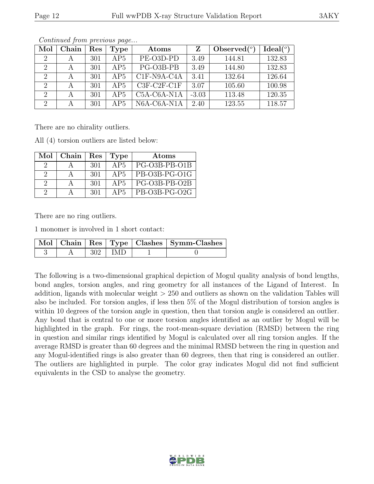| Mol            | Chain | Res | Type | Atoms         | Ζ       | Observed $(°)$ | Ideal $(°)$ |
|----------------|-------|-----|------|---------------|---------|----------------|-------------|
| $\overline{2}$ |       | 301 | AP5  | PE-O3D-PD     | 3.49    | 144.81         | 132.83      |
|                | А     | 301 | AP5  | PG-O3B-PB     | 3.49    | 144.80         | 132.83      |
| 2              |       | 301 | AP5  | C1F-N9A-C4A   | 3.41    | 132.64         | 126.64      |
| $\overline{2}$ |       | 301 | AP5  | $C3F-C2F-C1F$ | 3.07    | 105.60         | 100.98      |
| $\overline{2}$ |       | 301 | AP5  | $C5A-C6A-N1A$ | $-3.03$ | 113.48         | 120.35      |
| 2              |       | 301 | AP5  | $N6A-C6A-N1A$ | 2.40    | 123.55         | 118.57      |

Continued from previous page...

There are no chirality outliers.

All (4) torsion outliers are listed below:

| Mol           | Chain | Res | Type | Atoms         |
|---------------|-------|-----|------|---------------|
|               |       | 301 | AP5  | PG-O3B-PB-O1B |
| $\Omega$      |       | 301 | AP5  | PB-O3B-PG-O1G |
| $\mathcal{D}$ |       | 301 | AP5  | PG-O3B-PB-O2B |
| $\Omega$      |       | 301 | AP5  | PB-O3B-PG-O2G |

There are no ring outliers.

1 monomer is involved in 1 short contact:

|  |             | Mol   Chain   Res   Type   Clashes   Symm-Clashes |
|--|-------------|---------------------------------------------------|
|  | $302$   IMD |                                                   |

The following is a two-dimensional graphical depiction of Mogul quality analysis of bond lengths, bond angles, torsion angles, and ring geometry for all instances of the Ligand of Interest. In addition, ligands with molecular weight > 250 and outliers as shown on the validation Tables will also be included. For torsion angles, if less then 5% of the Mogul distribution of torsion angles is within 10 degrees of the torsion angle in question, then that torsion angle is considered an outlier. Any bond that is central to one or more torsion angles identified as an outlier by Mogul will be highlighted in the graph. For rings, the root-mean-square deviation (RMSD) between the ring in question and similar rings identified by Mogul is calculated over all ring torsion angles. If the average RMSD is greater than 60 degrees and the minimal RMSD between the ring in question and any Mogul-identified rings is also greater than 60 degrees, then that ring is considered an outlier. The outliers are highlighted in purple. The color gray indicates Mogul did not find sufficient equivalents in the CSD to analyse the geometry.

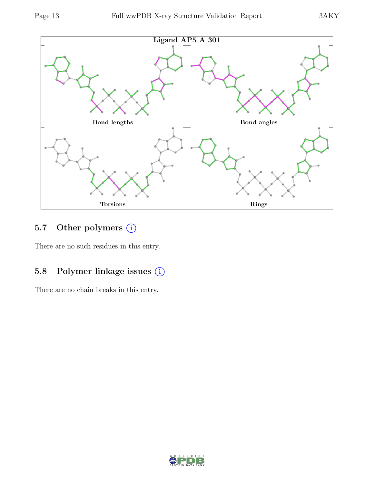

## 5.7 Other polymers (i)

There are no such residues in this entry.

## 5.8 Polymer linkage issues  $(i)$

There are no chain breaks in this entry.

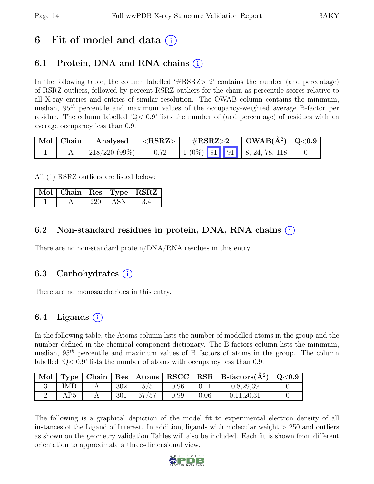# 6 Fit of model and data  $(i)$

## 6.1 Protein, DNA and RNA chains  $(i)$

In the following table, the column labelled  $#RSRZ>2$  contains the number (and percentage) of RSRZ outliers, followed by percent RSRZ outliers for the chain as percentile scores relative to all X-ray entries and entries of similar resolution. The OWAB column contains the minimum, median,  $95<sup>th</sup>$  percentile and maximum values of the occupancy-weighted average B-factor per residue. The column labelled ' $Q<.9$ ' lists the number of (and percentage) of residues with an average occupancy less than 0.9.

| Mol   Chain | Analysed            | $ \langle \mathrm{RSRZ} \rangle $ | $\rm \#RSRZ{>}2$                                                                                | $\mid$ OWAB(Å <sup>2</sup> ) $\mid$ Q<0.9 $\mid$ |  |
|-------------|---------------------|-----------------------------------|-------------------------------------------------------------------------------------------------|--------------------------------------------------|--|
|             | $\pm 218/220(99\%)$ | $-0.72$                           | $\begin{array}{ c c c c c c c c } \hline 1 & 0\% & 91 & 91 & 8, 24, 78, 118 \hline \end{array}$ |                                                  |  |

All (1) RSRZ outliers are listed below:

|  |     |     | $\vert$ Mol $\vert$ Chain $\vert$ Res $\vert$ Type $\vert$ RSRZ $\vert$ |
|--|-----|-----|-------------------------------------------------------------------------|
|  | 220 | ASN |                                                                         |

### 6.2 Non-standard residues in protein, DNA, RNA chains (i)

There are no non-standard protein/DNA/RNA residues in this entry.

#### 6.3 Carbohydrates (i)

There are no monosaccharides in this entry.

#### 6.4 Ligands  $(i)$

In the following table, the Atoms column lists the number of modelled atoms in the group and the number defined in the chemical component dictionary. The B-factors column lists the minimum, median,  $95<sup>th</sup>$  percentile and maximum values of B factors of atoms in the group. The column labelled 'Q< 0.9' lists the number of atoms with occupancy less than 0.9.

| Mol |     |     |       |      |      | Type   Chain   Res   Atoms   RSCC   RSR   B-factors $(\AA^2)$   Q<0.9 |  |
|-----|-----|-----|-------|------|------|-----------------------------------------------------------------------|--|
|     | IMD | 302 |       | 0.96 |      | 0,8,29,39                                                             |  |
|     | AP5 | 301 | 57/57 | 0.99 | 0.06 | 0.11.20.31                                                            |  |

The following is a graphical depiction of the model fit to experimental electron density of all instances of the Ligand of Interest. In addition, ligands with molecular weight > 250 and outliers as shown on the geometry validation Tables will also be included. Each fit is shown from different orientation to approximate a three-dimensional view.